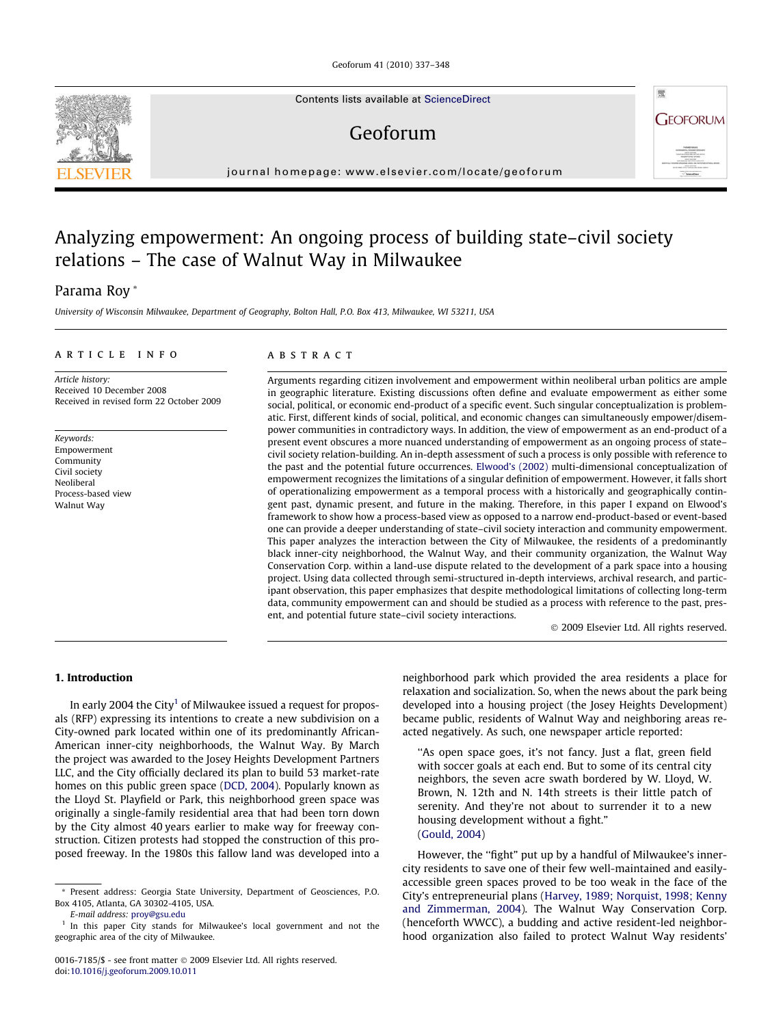Geoforum 41 (2010) 337–348

Contents lists available at [ScienceDirect](http://www.sciencedirect.com/science/journal/00167185)

## Geoforum

journal homepage: [www.elsevier.com/locate/geoforum](http://www.elsevier.com/locate/geoforum)

## Analyzing empowerment: An ongoing process of building state–civil society relations – The case of Walnut Way in Milwaukee

### Parama Roy \*

University of Wisconsin Milwaukee, Department of Geography, Bolton Hall, P.O. Box 413, Milwaukee, WI 53211, USA

#### article info

Article history: Received 10 December 2008 Received in revised form 22 October 2009

Keywords: Empowerment Community Civil society Neoliberal Process-based view Walnut Way

#### ABSTRACT

Arguments regarding citizen involvement and empowerment within neoliberal urban politics are ample in geographic literature. Existing discussions often define and evaluate empowerment as either some social, political, or economic end-product of a specific event. Such singular conceptualization is problematic. First, different kinds of social, political, and economic changes can simultaneously empower/disempower communities in contradictory ways. In addition, the view of empowerment as an end-product of a present event obscures a more nuanced understanding of empowerment as an ongoing process of state– civil society relation-building. An in-depth assessment of such a process is only possible with reference to the past and the potential future occurrences. [Elwood's \(2002\)](#page--1-0) multi-dimensional conceptualization of empowerment recognizes the limitations of a singular definition of empowerment. However, it falls short of operationalizing empowerment as a temporal process with a historically and geographically contingent past, dynamic present, and future in the making. Therefore, in this paper I expand on Elwood's framework to show how a process-based view as opposed to a narrow end-product-based or event-based one can provide a deeper understanding of state–civil society interaction and community empowerment. This paper analyzes the interaction between the City of Milwaukee, the residents of a predominantly black inner-city neighborhood, the Walnut Way, and their community organization, the Walnut Way Conservation Corp. within a land-use dispute related to the development of a park space into a housing project. Using data collected through semi-structured in-depth interviews, archival research, and participant observation, this paper emphasizes that despite methodological limitations of collecting long-term data, community empowerment can and should be studied as a process with reference to the past, present, and potential future state–civil society interactions.

- 2009 Elsevier Ltd. All rights reserved.

需

**GEOFORUM** 

#### 1. Introduction

In early 2004 the City<sup>1</sup> of Milwaukee issued a request for proposals (RFP) expressing its intentions to create a new subdivision on a City-owned park located within one of its predominantly African-American inner-city neighborhoods, the Walnut Way. By March the project was awarded to the Josey Heights Development Partners LLC, and the City officially declared its plan to build 53 market-rate homes on this public green space [\(DCD, 2004](#page--1-0)). Popularly known as the Lloyd St. Playfield or Park, this neighborhood green space was originally a single-family residential area that had been torn down by the City almost 40 years earlier to make way for freeway construction. Citizen protests had stopped the construction of this proposed freeway. In the 1980s this fallow land was developed into a

E-mail address: [proy@gsu.edu](mailto:proy@gsu.edu)

neighborhood park which provided the area residents a place for relaxation and socialization. So, when the news about the park being developed into a housing project (the Josey Heights Development) became public, residents of Walnut Way and neighboring areas reacted negatively. As such, one newspaper article reported:

''As open space goes, it's not fancy. Just a flat, green field with soccer goals at each end. But to some of its central city neighbors, the seven acre swath bordered by W. Lloyd, W. Brown, N. 12th and N. 14th streets is their little patch of serenity. And they're not about to surrender it to a new housing development without a fight." [\(Gould, 2004](#page--1-0))

However, the "fight" put up by a handful of Milwaukee's innercity residents to save one of their few well-maintained and easilyaccessible green spaces proved to be too weak in the face of the City's entrepreneurial plans [\(Harvey, 1989; Norquist, 1998; Kenny](#page--1-0) [and Zimmerman, 2004](#page--1-0)). The Walnut Way Conservation Corp. (henceforth WWCC), a budding and active resident-led neighborhood organization also failed to protect Walnut Way residents'



<sup>\*</sup> Present address: Georgia State University, Department of Geosciences, P.O. Box 4105, Atlanta, GA 30302-4105, USA.

In this paper City stands for Milwaukee's local government and not the geographic area of the city of Milwaukee.

<sup>0016-7185/\$ -</sup> see front matter © 2009 Elsevier Ltd. All rights reserved. doi[:10.1016/j.geoforum.2009.10.011](http://dx.doi.org/10.1016/j.geoforum.2009.10.011)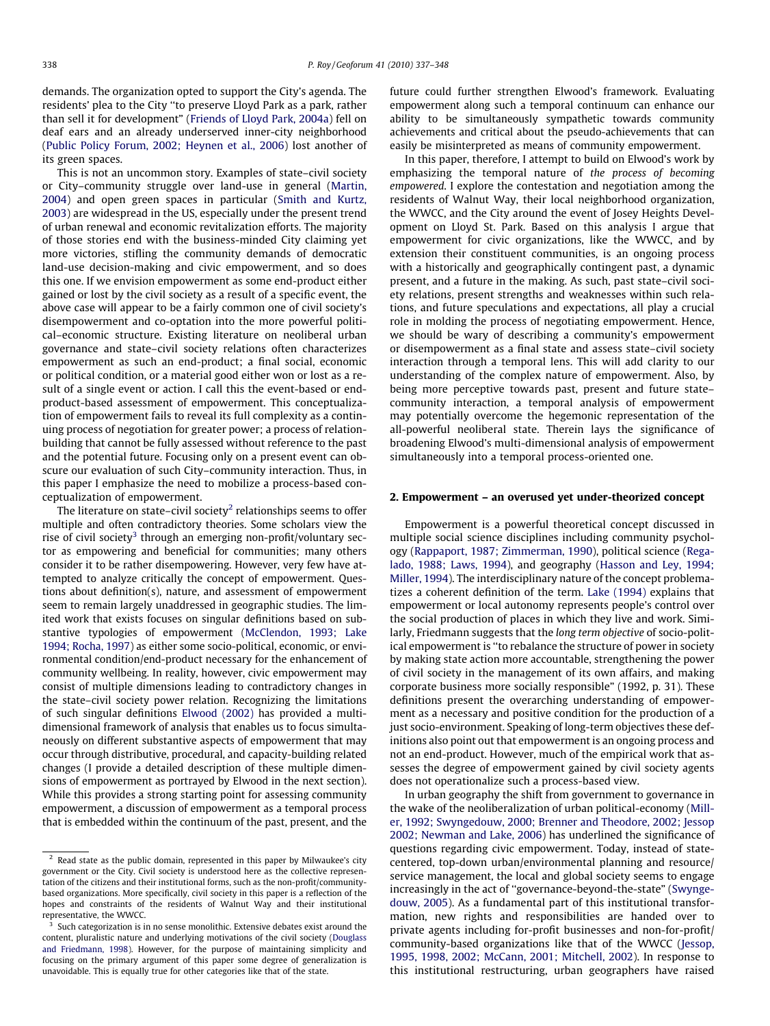demands. The organization opted to support the City's agenda. The residents' plea to the City ''to preserve Lloyd Park as a park, rather than sell it for development" [\(Friends of Lloyd Park, 2004a](#page--1-0)) fell on deaf ears and an already underserved inner-city neighborhood ([Public Policy Forum, 2002; Heynen et al., 2006\)](#page--1-0) lost another of its green spaces.

This is not an uncommon story. Examples of state–civil society or City–community struggle over land-use in general [\(Martin,](#page--1-0) [2004\)](#page--1-0) and open green spaces in particular ([Smith and Kurtz,](#page--1-0) [2003\)](#page--1-0) are widespread in the US, especially under the present trend of urban renewal and economic revitalization efforts. The majority of those stories end with the business-minded City claiming yet more victories, stifling the community demands of democratic land-use decision-making and civic empowerment, and so does this one. If we envision empowerment as some end-product either gained or lost by the civil society as a result of a specific event, the above case will appear to be a fairly common one of civil society's disempowerment and co-optation into the more powerful political–economic structure. Existing literature on neoliberal urban governance and state–civil society relations often characterizes empowerment as such an end-product; a final social, economic or political condition, or a material good either won or lost as a result of a single event or action. I call this the event-based or endproduct-based assessment of empowerment. This conceptualization of empowerment fails to reveal its full complexity as a continuing process of negotiation for greater power; a process of relationbuilding that cannot be fully assessed without reference to the past and the potential future. Focusing only on a present event can obscure our evaluation of such City–community interaction. Thus, in this paper I emphasize the need to mobilize a process-based conceptualization of empowerment.

The literature on state–civil society<sup>2</sup> relationships seems to offer multiple and often contradictory theories. Some scholars view the rise of civil society<sup>3</sup> through an emerging non-profit/voluntary sector as empowering and beneficial for communities; many others consider it to be rather disempowering. However, very few have attempted to analyze critically the concept of empowerment. Questions about definition(s), nature, and assessment of empowerment seem to remain largely unaddressed in geographic studies. The limited work that exists focuses on singular definitions based on substantive typologies of empowerment ([McClendon, 1993; Lake](#page--1-0) [1994; Rocha, 1997\)](#page--1-0) as either some socio-political, economic, or environmental condition/end-product necessary for the enhancement of community wellbeing. In reality, however, civic empowerment may consist of multiple dimensions leading to contradictory changes in the state–civil society power relation. Recognizing the limitations of such singular definitions [Elwood \(2002\)](#page--1-0) has provided a multidimensional framework of analysis that enables us to focus simultaneously on different substantive aspects of empowerment that may occur through distributive, procedural, and capacity-building related changes (I provide a detailed description of these multiple dimensions of empowerment as portrayed by Elwood in the next section). While this provides a strong starting point for assessing community empowerment, a discussion of empowerment as a temporal process that is embedded within the continuum of the past, present, and the

future could further strengthen Elwood's framework. Evaluating empowerment along such a temporal continuum can enhance our ability to be simultaneously sympathetic towards community achievements and critical about the pseudo-achievements that can easily be misinterpreted as means of community empowerment.

In this paper, therefore, I attempt to build on Elwood's work by emphasizing the temporal nature of the process of becoming empowered. I explore the contestation and negotiation among the residents of Walnut Way, their local neighborhood organization, the WWCC, and the City around the event of Josey Heights Development on Lloyd St. Park. Based on this analysis I argue that empowerment for civic organizations, like the WWCC, and by extension their constituent communities, is an ongoing process with a historically and geographically contingent past, a dynamic present, and a future in the making. As such, past state–civil society relations, present strengths and weaknesses within such relations, and future speculations and expectations, all play a crucial role in molding the process of negotiating empowerment. Hence, we should be wary of describing a community's empowerment or disempowerment as a final state and assess state–civil society interaction through a temporal lens. This will add clarity to our understanding of the complex nature of empowerment. Also, by being more perceptive towards past, present and future state– community interaction, a temporal analysis of empowerment may potentially overcome the hegemonic representation of the all-powerful neoliberal state. Therein lays the significance of broadening Elwood's multi-dimensional analysis of empowerment simultaneously into a temporal process-oriented one.

#### 2. Empowerment – an overused yet under-theorized concept

Empowerment is a powerful theoretical concept discussed in multiple social science disciplines including community psychology ([Rappaport, 1987; Zimmerman, 1990](#page--1-0)), political science [\(Rega](#page--1-0)[lado, 1988; Laws, 1994](#page--1-0)), and geography [\(Hasson and Ley, 1994;](#page--1-0) [Miller, 1994\)](#page--1-0). The interdisciplinary nature of the concept problematizes a coherent definition of the term. [Lake \(1994\)](#page--1-0) explains that empowerment or local autonomy represents people's control over the social production of places in which they live and work. Similarly, Friedmann suggests that the long term objective of socio-political empowerment is ''to rebalance the structure of power in society by making state action more accountable, strengthening the power of civil society in the management of its own affairs, and making corporate business more socially responsible" (1992, p. 31). These definitions present the overarching understanding of empowerment as a necessary and positive condition for the production of a just socio-environment. Speaking of long-term objectives these definitions also point out that empowerment is an ongoing process and not an end-product. However, much of the empirical work that assesses the degree of empowerment gained by civil society agents does not operationalize such a process-based view.

In urban geography the shift from government to governance in the wake of the neoliberalization of urban political-economy [\(Mill](#page--1-0)[er, 1992; Swyngedouw, 2000; Brenner and Theodore, 2002; Jessop](#page--1-0) [2002; Newman and Lake, 2006](#page--1-0)) has underlined the significance of questions regarding civic empowerment. Today, instead of statecentered, top-down urban/environmental planning and resource/ service management, the local and global society seems to engage increasingly in the act of ''governance-beyond-the-state" [\(Swynge](#page--1-0)[douw, 2005\)](#page--1-0). As a fundamental part of this institutional transformation, new rights and responsibilities are handed over to private agents including for-profit businesses and non-for-profit/ community-based organizations like that of the WWCC [\(Jessop,](#page--1-0) [1995, 1998, 2002; McCann, 2001; Mitchell, 2002\)](#page--1-0). In response to this institutional restructuring, urban geographers have raised

 $2$  Read state as the public domain, represented in this paper by Milwaukee's city government or the City. Civil society is understood here as the collective representation of the citizens and their institutional forms, such as the non-profit/communitybased organizations. More specifically, civil society in this paper is a reflection of the hopes and constraints of the residents of Walnut Way and their institutional representative, the WWCC.

<sup>&</sup>lt;sup>3</sup> Such categorization is in no sense monolithic. Extensive debates exist around the content, pluralistic nature and underlying motivations of the civil society [\(Douglass](#page--1-0) [and Friedmann, 1998](#page--1-0)). However, for the purpose of maintaining simplicity and focusing on the primary argument of this paper some degree of generalization is unavoidable. This is equally true for other categories like that of the state.